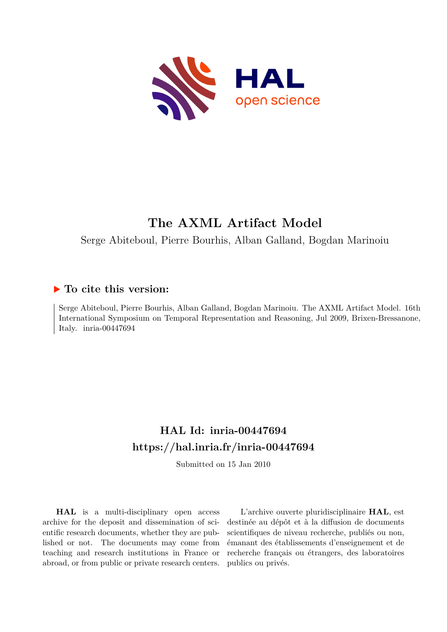

# **The AXML Artifact Model**

Serge Abiteboul, Pierre Bourhis, Alban Galland, Bogdan Marinoiu

### **To cite this version:**

Serge Abiteboul, Pierre Bourhis, Alban Galland, Bogdan Marinoiu. The AXML Artifact Model. 16th International Symposium on Temporal Representation and Reasoning, Jul 2009, Brixen-Bressanone, Italy. inria- $00447694$ 

## **HAL Id: inria-00447694 <https://hal.inria.fr/inria-00447694>**

Submitted on 15 Jan 2010

**HAL** is a multi-disciplinary open access archive for the deposit and dissemination of scientific research documents, whether they are published or not. The documents may come from teaching and research institutions in France or abroad, or from public or private research centers.

L'archive ouverte pluridisciplinaire **HAL**, est destinée au dépôt et à la diffusion de documents scientifiques de niveau recherche, publiés ou non, émanant des établissements d'enseignement et de recherche français ou étrangers, des laboratoires publics ou privés.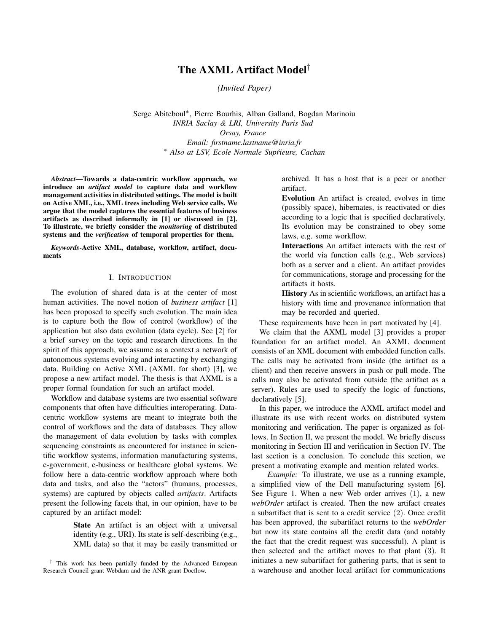### The AXML Artifact Model†

*(Invited Paper)*

Serge Abiteboul<sup>∗</sup> , Pierre Bourhis, Alban Galland, Bogdan Marinoiu *INRIA Saclay & LRI, University Paris Sud Orsay, France Email: firstname.lastname@inria.fr* <sup>∗</sup> *Also at LSV, Ecole Normale Suprieure, Cachan ´*

*Abstract*—Towards a data-centric workflow approach, we introduce an *artifact model* to capture data and workflow management activities in distributed settings. The model is built on Active XML, i.e., XML trees including Web service calls. We argue that the model captures the essential features of business artifacts as described informally in [1] or discussed in [2]. To illustrate, we briefly consider the *monitoring* of distributed systems and the *verification* of temporal properties for them.

*Keywords*-Active XML, database, workflow, artifact, documents

#### I. INTRODUCTION

The evolution of shared data is at the center of most human activities. The novel notion of *business artifact* [1] has been proposed to specify such evolution. The main idea is to capture both the flow of control (workflow) of the application but also data evolution (data cycle). See [2] for a brief survey on the topic and research directions. In the spirit of this approach, we assume as a context a network of autonomous systems evolving and interacting by exchanging data. Building on Active XML (AXML for short) [3], we propose a new artifact model. The thesis is that AXML is a proper formal foundation for such an artifact model.

Workflow and database systems are two essential software components that often have difficulties interoperating. Datacentric workflow systems are meant to integrate both the control of workflows and the data of databases. They allow the management of data evolution by tasks with complex sequencing constraints as encountered for instance in scientific workflow systems, information manufacturing systems, e-government, e-business or healthcare global systems. We follow here a data-centric workflow approach where both data and tasks, and also the "actors" (humans, processes, systems) are captured by objects called *artifacts*. Artifacts present the following facets that, in our opinion, have to be captured by an artifact model:

> State An artifact is an object with a universal identity (e.g., URI). Its state is self-describing (e.g., XML data) so that it may be easily transmitted or

† This work has been partially funded by the Advanced European Research Council grant Webdam and the ANR grant Docflow.

archived. It has a host that is a peer or another artifact.

Evolution An artifact is created, evolves in time (possibly space), hibernates, is reactivated or dies according to a logic that is specified declaratively. Its evolution may be constrained to obey some laws, e.g. some workflow.

Interactions An artifact interacts with the rest of the world via function calls (e.g., Web services) both as a server and a client. An artifact provides for communications, storage and processing for the artifacts it hosts.

History As in scientific workflows, an artifact has a history with time and provenance information that may be recorded and queried.

These requirements have been in part motivated by [4].

We claim that the AXML model [3] provides a proper foundation for an artifact model. An AXML document consists of an XML document with embedded function calls. The calls may be activated from inside (the artifact as a client) and then receive answers in push or pull mode. The calls may also be activated from outside (the artifact as a server). Rules are used to specify the logic of functions, declaratively [5].

In this paper, we introduce the AXML artifact model and illustrate its use with recent works on distributed system monitoring and verification. The paper is organized as follows. In Section II, we present the model. We briefly discuss monitoring in Section III and verification in Section IV. The last section is a conclusion. To conclude this section, we present a motivating example and mention related works.

*Example:* To illustrate, we use as a running example, a simplified view of the Dell manufacturing system [6]. See Figure 1. When a new Web order arrives (1), a new *webOrder* artifact is created. Then the new artifact creates a subartifact that is sent to a credit service (2). Once credit has been approved, the subartifact returns to the *webOrder* but now its state contains all the credit data (and notably the fact that the credit request was successful). A plant is then selected and the artifact moves to that plant (3). It initiates a new subartifact for gathering parts, that is sent to a warehouse and another local artifact for communications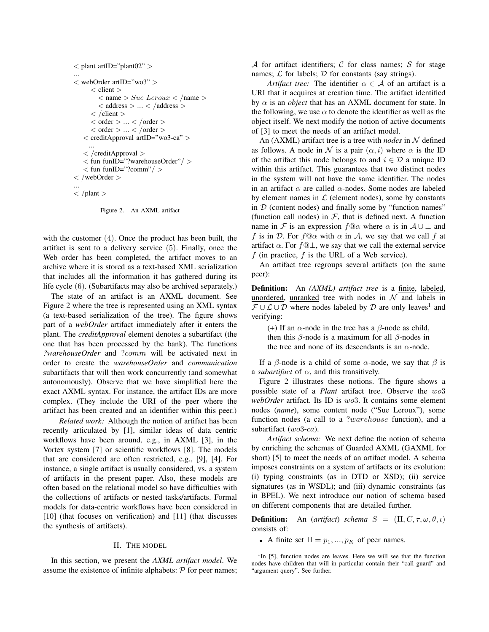```
\langle plant artID="plant02" >...
< webOrder artID="wo3" >
      \langle client \rangle\langle name \rangle Sue Leroux \langle /name \rangle\langle address \rangle ... \langle /address \rangle\langle /client \rangle< order > ... < /order >< order > ... < /order >< creditApproval artID="wo3-ca" >
      ...
   < /creditApproval >
   < fun funID="?warehouseOrder"/ >
   < fun funID="?comm"/>< /webOrder >
...
\langle /plant >
```
Figure 2. An AXML artifact

with the customer (4). Once the product has been built, the artifact is sent to a delivery service (5). Finally, once the Web order has been completed, the artifact moves to an archive where it is stored as a text-based XML serialization that includes all the information it has gathered during its life cycle (6). (Subartifacts may also be archived separately.)

The state of an artifact is an AXML document. See Figure 2 where the tree is represented using an XML syntax (a text-based serialization of the tree). The figure shows part of a *webOrder* artifact immediately after it enters the plant. The *creditApproval* element denotes a subartifact (the one that has been processed by the bank). The functions *?warehouseOrder* and ?comm will be activated next in order to create the *warehouseOrder* and *communication* subartifacts that will then work concurrently (and somewhat autonomously). Observe that we have simplified here the exact AXML syntax. For instance, the artifact IDs are more complex. (They include the URI of the peer where the artifact has been created and an identifier within this peer.)

*Related work:* Although the notion of artifact has been recently articulated by [1], similar ideas of data centric workflows have been around, e.g., in AXML [3], in the Vortex system [7] or scientific workflows [8]. The models that are considered are often restricted, e.g., [9], [4]. For instance, a single artifact is usually considered, vs. a system of artifacts in the present paper. Also, these models are often based on the relational model so have difficulties with the collections of artifacts or nested tasks/artifacts. Formal models for data-centric workflows have been considered in [10] (that focuses on verification) and [11] (that discusses the synthesis of artifacts).

#### II. THE MODEL

In this section, we present the *AXML artifact model*. We assume the existence of infinite alphabets:  $P$  for peer names; A for artifact identifiers; C for class names; S for stage names;  $\mathcal L$  for labels;  $\mathcal D$  for constants (say strings).

*Artifact tree:* The identifier  $\alpha \in \mathcal{A}$  of an artifact is a URI that it acquires at creation time. The artifact identified by  $\alpha$  is an *object* that has an AXML document for state. In the following, we use  $\alpha$  to denote the identifier as well as the object itself. We next modify the notion of active documents of [3] to meet the needs of an artifact model.

An (AXML) artifact tree is a tree with *nodes* in N defined as follows. A node in N is a pair  $(\alpha, i)$  where  $\alpha$  is the ID of the artifact this node belongs to and  $i \in \mathcal{D}$  a unique ID within this artifact. This guarantees that two distinct nodes in the system will not have the same identifier. The nodes in an artifact  $\alpha$  are called  $\alpha$ -nodes. Some nodes are labeled by element names in  $\mathcal L$  (element nodes), some by constants in  $D$  (content nodes) and finally some by "function names" (function call nodes) in  $\mathcal F$ , that is defined next. A function name in F is an expression  $f@ \alpha$  where  $\alpha$  is in  $A \cup \bot$  and f is in D. For  $f \circ \alpha$  with  $\alpha$  in A, we say that we call f at artifact  $\alpha$ . For  $f@ \perp$ , we say that we call the external service f (in practice,  $f$  is the URL of a Web service).

An artifact tree regroups several artifacts (on the same peer):

Definition: An *(AXML) artifact tree* is a finite, labeled, unordered, unranked tree with nodes in  $N$  and labels in  $\mathcal{F} \cup \mathcal{L} \cup \mathcal{D}$  where nodes labeled by  $\mathcal{D}$  are only leaves<sup>1</sup> and verifying:

(+) If an  $\alpha$ -node in the tree has a  $\beta$ -node as child, then this  $\beta$ -node is a maximum for all  $\beta$ -nodes in the tree and none of its descendants is an  $\alpha$ -node.

If a  $\beta$ -node is a child of some  $\alpha$ -node, we say that  $\beta$  is a *subartifact* of  $\alpha$ , and this transitively.

Figure 2 illustrates these notions. The figure shows a possible state of a *Plant* artifact tree. Observe the wo3 *webOrder* artifact. Its ID is wo3. It contains some element nodes (*name*), some content node ("Sue Leroux"), some function nodes (a call to a ?warehouse function), and a subartifact (wo3-ca).

*Artifact schema:* We next define the notion of schema by enriching the schemas of Guarded AXML (GAXML for short) [5] to meet the needs of an artifact model. A schema imposes constraints on a system of artifacts or its evolution: (i) typing constraints (as in DTD or XSD); (ii) service signatures (as in WSDL); and (iii) dynamic constraints (as in BPEL). We next introduce our notion of schema based on different components that are detailed further.

**Definition:** An (*artifact*) *schema*  $S = (\Pi, C, \tau, \omega, \theta, \iota)$ consists of:

• A finite set  $\Pi = p_1, ..., p_K$  of peer names.

<sup>&</sup>lt;sup>1</sup>In [5], function nodes are leaves. Here we will see that the function nodes have children that will in particular contain their "call guard" and "argument query". See further.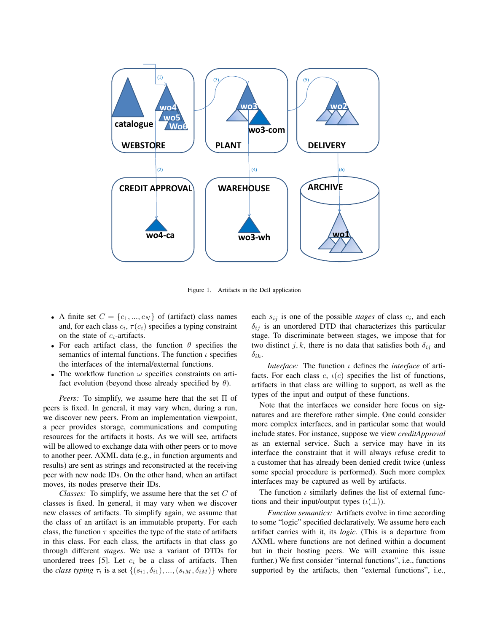

Figure 1. Artifacts in the Dell application

- A finite set  $C = \{c_1, ..., c_N\}$  of (artifact) class names and, for each class  $c_i$ ,  $\tau(c_i)$  specifies a typing constraint on the state of  $c_i$ -artifacts.
- For each artifact class, the function  $\theta$  specifies the semantics of internal functions. The function  $\iota$  specifies the interfaces of the internal/external functions.
- The workflow function  $\omega$  specifies constraints on artifact evolution (beyond those already specified by  $\theta$ ).

*Peers:* To simplify, we assume here that the set Π of peers is fixed. In general, it may vary when, during a run, we discover new peers. From an implementation viewpoint, a peer provides storage, communications and computing resources for the artifacts it hosts. As we will see, artifacts will be allowed to exchange data with other peers or to move to another peer. AXML data (e.g., in function arguments and results) are sent as strings and reconstructed at the receiving peer with new node IDs. On the other hand, when an artifact moves, its nodes preserve their IDs.

*Classes:* To simplify, we assume here that the set C of classes is fixed. In general, it may vary when we discover new classes of artifacts. To simplify again, we assume that the class of an artifact is an immutable property. For each class, the function  $\tau$  specifies the type of the state of artifacts in this class. For each class, the artifacts in that class go through different *stages*. We use a variant of DTDs for unordered trees [5]. Let  $c_i$  be a class of artifacts. Then the *class typing*  $\tau_i$  is a set  $\{(s_{i1}, \delta_{i1}), ..., (s_{iM}, \delta_{iM})\}$  where

each  $s_{ij}$  is one of the possible *stages* of class  $c_i$ , and each  $\delta_{ij}$  is an unordered DTD that characterizes this particular stage. To discriminate between stages, we impose that for two distinct j, k, there is no data that satisfies both  $\delta_{ij}$  and  $\delta_{ik}$ .

*Interface:* The function ι defines the *interface* of artifacts. For each class c,  $\iota(c)$  specifies the list of functions, artifacts in that class are willing to support, as well as the types of the input and output of these functions.

Note that the interfaces we consider here focus on signatures and are therefore rather simple. One could consider more complex interfaces, and in particular some that would include states. For instance, suppose we view *creditApproval* as an external service. Such a service may have in its interface the constraint that it will always refuse credit to a customer that has already been denied credit twice (unless some special procedure is performed). Such more complex interfaces may be captured as well by artifacts.

The function  $\iota$  similarly defines the list of external functions and their input/output types  $(\iota(\perp))$ .

*Function semantics:* Artifacts evolve in time according to some "logic" specified declaratively. We assume here each artifact carries with it, its *logic*. (This is a departure from AXML where functions are not defined within a document but in their hosting peers. We will examine this issue further.) We first consider "internal functions", i.e., functions supported by the artifacts, then "external functions", i.e.,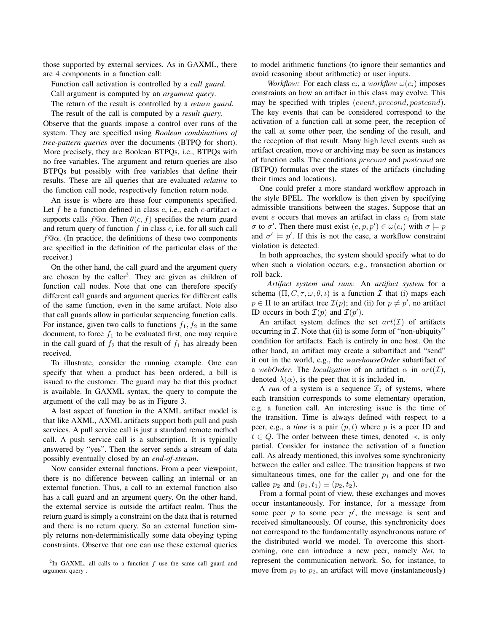those supported by external services. As in GAXML, there are 4 components in a function call:

Function call activation is controlled by a *call guard*.

Call argument is computed by an *argument query*.

The return of the result is controlled by a *return guard*.

The result of the call is computed by a *result query*. Observe that the guards impose a control over runs of the system. They are specified using *Boolean combinations of tree-pattern queries* over the documents (BTPQ for short). More precisely, they are Boolean BTPQs, i.e., BTPQs with no free variables. The argument and return queries are also BTPQs but possibly with free variables that define their results. These are all queries that are evaluated *relative* to the function call node, respectively function return node.

An issue is where are these four components specified. Let f be a function defined in class c, i.e., each c-artifact  $\alpha$ supports calls  $f@{\alpha}$ . Then  $\theta(c, f)$  specifies the return guard and return query of function  $f$  in class  $c$ , i.e. for all such call  $f@\alpha$ . (In practice, the definitions of these two components are specified in the definition of the particular class of the receiver.)

On the other hand, the call guard and the argument query are chosen by the caller<sup>2</sup>. They are given as children of function call nodes. Note that one can therefore specify different call guards and argument queries for different calls of the same function, even in the same artifact. Note also that call guards allow in particular sequencing function calls. For instance, given two calls to functions  $f_1, f_2$  in the same document, to force  $f_1$  to be evaluated first, one may require in the call guard of  $f_2$  that the result of  $f_1$  has already been received.

To illustrate, consider the running example. One can specify that when a product has been ordered, a bill is issued to the customer. The guard may be that this product is available. In GAXML syntax, the query to compute the argument of the call may be as in Figure 3.

A last aspect of function in the AXML artifact model is that like AXML, AXML artifacts support both pull and push services. A pull service call is just a standard remote method call. A push service call is a subscription. It is typically answered by "yes". Then the server sends a stream of data possibly eventually closed by an *end-of-stream*.

Now consider external functions. From a peer viewpoint, there is no difference between calling an internal or an external function. Thus, a call to an external function also has a call guard and an argument query. On the other hand, the external service is outside the artifact realm. Thus the return guard is simply a constraint on the data that is returned and there is no return query. So an external function simply returns non-deterministically some data obeying typing constraints. Observe that one can use these external queries to model arithmetic functions (to ignore their semantics and avoid reasoning about arithmetic) or user inputs.

*Workflow:* For each class  $c_i$ , a *workflow*  $\omega(c_i)$  imposes constraints on how an artifact in this class may evolve. This may be specified with triples (event, precond, postcond). The key events that can be considered correspond to the activation of a function call at some peer, the reception of the call at some other peer, the sending of the result, and the reception of that result. Many high level events such as artifact creation, move or archiving may be seen as instances of function calls. The conditions precond and postcond are (BTPQ) formulas over the states of the artifacts (including their times and locations).

One could prefer a more standard workflow approach in the style BPEL. The workflow is then given by specifying admissible transitions between the stages. Suppose that an event  $e$  occurs that moves an artifact in class  $c_i$  from state  $\sigma$  to  $\sigma'$ . Then there must exist  $(e, p, p') \in \omega(c_i)$  with  $\sigma \models p$ and  $\sigma' \models p'$ . If this is not the case, a workflow constraint violation is detected.

In both approaches, the system should specify what to do when such a violation occurs, e.g., transaction abortion or roll back.

*Artifact system and runs:* An *artifact system* for a schema  $(\Pi, C, \tau, \omega, \theta, \iota)$  is a function  $\mathcal I$  that (i) maps each  $p \in \Pi$  to an artifact tree  $\mathcal{I}(p)$ ; and (ii) for  $p \neq p'$ , no artifact ID occurs in both  $\mathcal{I}(p)$  and  $\mathcal{I}(p')$ .

An artifact system defines the set  $art(\mathcal{I})$  of artifacts occurring in  $I$ . Note that (ii) is some form of "non-ubiquity" condition for artifacts. Each is entirely in one host. On the other hand, an artifact may create a subartifact and "send" it out in the world, e.g., the *warehouseOrder* subartifact of a *webOrder*. The *localization* of an artifact  $\alpha$  in  $art(\mathcal{I})$ , denoted  $\lambda(\alpha)$ , is the peer that it is included in.

A *run* of a system is a sequence  $\mathcal{I}_i$  of systems, where each transition corresponds to some elementary operation, e.g. a function call. An interesting issue is the time of the transition. Time is always defined with respect to a peer, e.g., a *time* is a pair  $(p, t)$  where p is a peer ID and  $t \in Q$ . The order between these times, denoted  $\prec$ , is only partial. Consider for instance the activation of a function call. As already mentioned, this involves some synchronicity between the caller and callee. The transition happens at two simultaneous times, one for the caller  $p_1$  and one for the callee  $p_2$  and  $(p_1, t_1) \equiv (p_2, t_2)$ .

From a formal point of view, these exchanges and moves occur instantaneously. For instance, for a message from some peer  $p$  to some peer  $p'$ , the message is sent and received simultaneously. Of course, this synchronicity does not correspond to the fundamentally asynchronous nature of the distributed world we model. To overcome this shortcoming, one can introduce a new peer, namely *Net*, to represent the communication network. So, for instance, to move from  $p_1$  to  $p_2$ , an artifact will move (instantaneously)

<sup>&</sup>lt;sup>2</sup>In GAXML, all calls to a function  $f$  use the same call guard and argument query .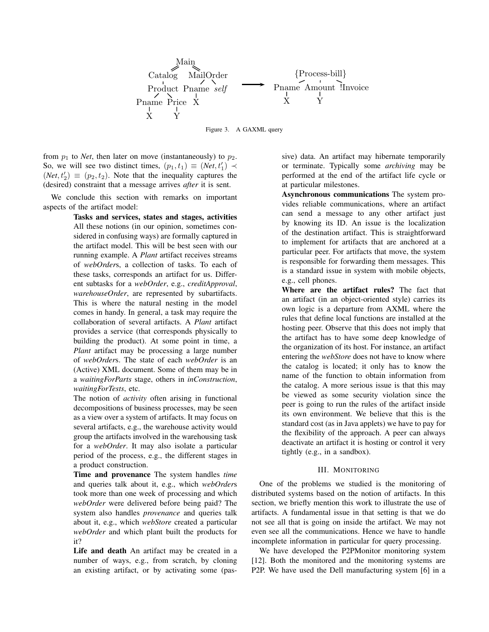

Figure 3. A GAXML query

from  $p_1$  to *Net*, then later on move (instantaneously) to  $p_2$ . So, we will see two distinct times,  $(p_1, t_1) \equiv (Net, t'_1) \prec$  $(Net, t'_2) \equiv (p_2, t_2)$ . Note that the inequality captures the (desired) constraint that a message arrives *after* it is sent.

We conclude this section with remarks on important aspects of the artifact model:

> Tasks and services, states and stages, activities All these notions (in our opinion, sometimes considered in confusing ways) are formally captured in the artifact model. This will be best seen with our running example. A *Plant* artifact receives streams of *webOrder*s, a collection of tasks. To each of these tasks, corresponds an artifact for us. Different subtasks for a *webOrder*, e.g., *creditApproval*, *warehouseOrder*, are represented by subartifacts. This is where the natural nesting in the model comes in handy. In general, a task may require the collaboration of several artifacts. A *Plant* artifact provides a service (that corresponds physically to building the product). At some point in time, a *Plant* artifact may be processing a large number of *webOrder*s. The state of each *webOrder* is an (Active) XML document. Some of them may be in a *waitingForParts* stage, others in *inConstruction*, *waitingForTests*, etc.

> The notion of *activity* often arising in functional decompositions of business processes, may be seen as a view over a system of artifacts. It may focus on several artifacts, e.g., the warehouse activity would group the artifacts involved in the warehousing task for a *webOrder*. It may also isolate a particular period of the process, e.g., the different stages in a product construction.

> Time and provenance The system handles *time* and queries talk about it, e.g., which *webOrder*s took more than one week of processing and which *webOrder* were delivered before being paid? The system also handles *provenance* and queries talk about it, e.g., which *webStore* created a particular *webOrder* and which plant built the products for it?

> Life and death An artifact may be created in a number of ways, e.g., from scratch, by cloning an existing artifact, or by activating some (pas

sive) data. An artifact may hibernate temporarily or terminate. Typically some *archiving* may be performed at the end of the artifact life cycle or at particular milestones.

Asynchronous communications The system provides reliable communications, where an artifact can send a message to any other artifact just by knowing its ID. An issue is the localization of the destination artifact. This is straightforward to implement for artifacts that are anchored at a particular peer. For artifacts that move, the system is responsible for forwarding them messages. This is a standard issue in system with mobile objects, e.g., cell phones.

Where are the artifact rules? The fact that an artifact (in an object-oriented style) carries its own logic is a departure from AXML where the rules that define local functions are installed at the hosting peer. Observe that this does not imply that the artifact has to have some deep knowledge of the organization of its host. For instance, an artifact entering the *webStore* does not have to know where the catalog is located; it only has to know the name of the function to obtain information from the catalog. A more serious issue is that this may be viewed as some security violation since the peer is going to run the rules of the artifact inside its own environment. We believe that this is the standard cost (as in Java applets) we have to pay for the flexibility of the approach. A peer can always deactivate an artifact it is hosting or control it very tightly (e.g., in a sandbox).

#### III. MONITORING

One of the problems we studied is the monitoring of distributed systems based on the notion of artifacts. In this section, we briefly mention this work to illustrate the use of artifacts. A fundamental issue in that setting is that we do not see all that is going on inside the artifact. We may not even see all the communications. Hence we have to handle incomplete information in particular for query processing.

We have developed the P2PMonitor monitoring system [12]. Both the monitored and the monitoring systems are P2P. We have used the Dell manufacturing system [6] in a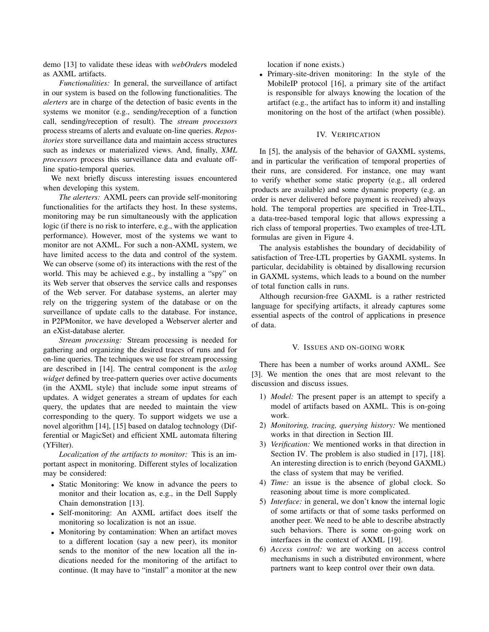demo [13] to validate these ideas with *webOrder*s modeled as AXML artifacts.

*Functionalities:* In general, the surveillance of artifact in our system is based on the following functionalities. The *alerters* are in charge of the detection of basic events in the systems we monitor (e.g., sending/reception of a function call, sending/reception of result). The *stream processors* process streams of alerts and evaluate on-line queries. *Repositories* store surveillance data and maintain access structures such as indexes or materialized views. And, finally, *XML processors* process this surveillance data and evaluate offline spatio-temporal queries.

We next briefly discuss interesting issues encountered when developing this system.

*The alerters:* AXML peers can provide self-monitoring functionalities for the artifacts they host. In these systems, monitoring may be run simultaneously with the application logic (if there is no risk to interfere, e.g., with the application performance). However, most of the systems we want to monitor are not AXML. For such a non-AXML system, we have limited access to the data and control of the system. We can observe (some of) its interactions with the rest of the world. This may be achieved e.g., by installing a "spy" on its Web server that observes the service calls and responses of the Web server. For database systems, an alerter may rely on the triggering system of the database or on the surveillance of update calls to the database. For instance, in P2PMonitor, we have developed a Webserver alerter and an eXist-database alerter.

*Stream processing:* Stream processing is needed for gathering and organizing the desired traces of runs and for on-line queries. The techniques we use for stream processing are described in [14]. The central component is the *axlog widget* defined by tree-pattern queries over active documents (in the AXML style) that include some input streams of updates. A widget generates a stream of updates for each query, the updates that are needed to maintain the view corresponding to the query. To support widgets we use a novel algorithm [14], [15] based on datalog technology (Differential or MagicSet) and efficient XML automata filtering (YFilter).

*Localization of the artifacts to monitor:* This is an important aspect in monitoring. Different styles of localization may be considered:

- Static Monitoring: We know in advance the peers to monitor and their location as, e.g., in the Dell Supply Chain demonstration [13].
- Self-monitoring: An AXML artifact does itself the monitoring so localization is not an issue.
- Monitoring by contamination: When an artifact moves to a different location (say a new peer), its monitor sends to the monitor of the new location all the indications needed for the monitoring of the artifact to continue. (It may have to "install" a monitor at the new

location if none exists.)

• Primary-site-driven monitoring: In the style of the MobileIP protocol [16], a primary site of the artifact is responsible for always knowing the location of the artifact (e.g., the artifact has to inform it) and installing monitoring on the host of the artifact (when possible).

#### IV. VERIFICATION

In [5], the analysis of the behavior of GAXML systems, and in particular the verification of temporal properties of their runs, are considered. For instance, one may want to verify whether some static property (e.g., all ordered products are available) and some dynamic property (e.g. an order is never delivered before payment is received) always hold. The temporal properties are specified in Tree-LTL, a data-tree-based temporal logic that allows expressing a rich class of temporal properties. Two examples of tree-LTL formulas are given in Figure 4.

The analysis establishes the boundary of decidability of satisfaction of Tree-LTL properties by GAXML systems. In particular, decidability is obtained by disallowing recursion in GAXML systems, which leads to a bound on the number of total function calls in runs.

Although recursion-free GAXML is a rather restricted language for specifying artifacts, it already captures some essential aspects of the control of applications in presence of data.

#### V. ISSUES AND ON-GOING WORK

There has been a number of works around AXML. See [3]. We mention the ones that are most relevant to the discussion and discuss issues.

- 1) *Model:* The present paper is an attempt to specify a model of artifacts based on AXML. This is on-going work.
- 2) *Monitoring, tracing, querying history:* We mentioned works in that direction in Section III.
- 3) *Verification:* We mentioned works in that direction in Section IV. The problem is also studied in [17], [18]. An interesting direction is to enrich (beyond GAXML) the class of system that may be verified.
- 4) *Time:* an issue is the absence of global clock. So reasoning about time is more complicated.
- 5) *Interface:* in general, we don't know the internal logic of some artifacts or that of some tasks performed on another peer. We need to be able to describe abstractly such behaviors. There is some on-going work on interfaces in the context of AXML [19].
- 6) *Access control:* we are working on access control mechanisms in such a distributed environment, where partners want to keep control over their own data.